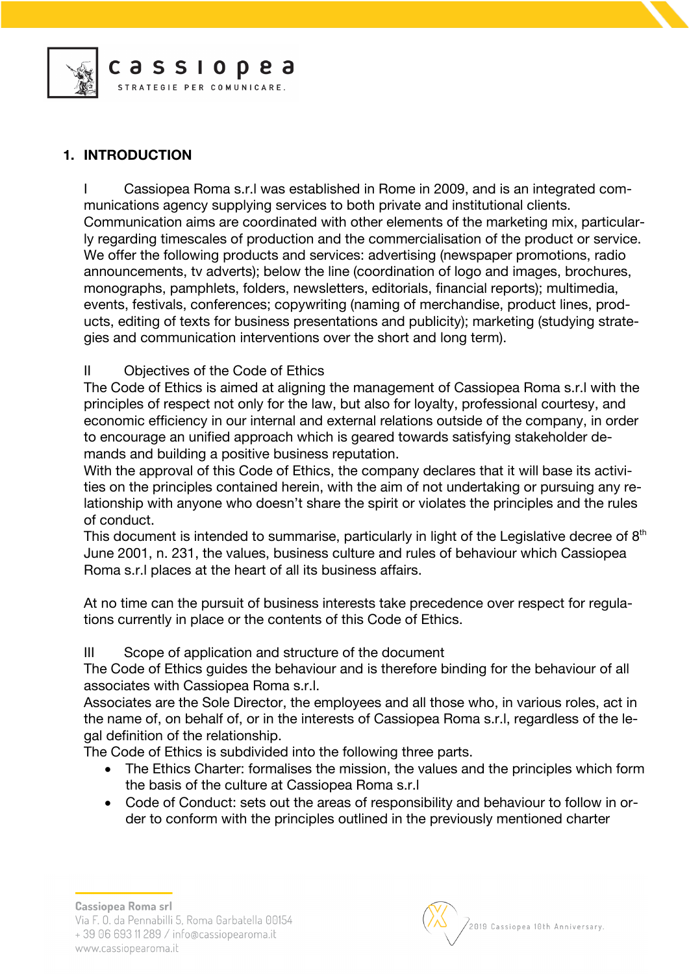

# **1. INTRODUCTION**

I Cassiopea Roma s.r.l was established in Rome in 2009, and is an integrated communications agency supplying services to both private and institutional clients. Communication aims are coordinated with other elements of the marketing mix, particularly regarding timescales of production and the commercialisation of the product or service. We offer the following products and services: advertising (newspaper promotions, radio announcements, tv adverts); below the line (coordination of logo and images, brochures, monographs, pamphlets, folders, newsletters, editorials, financial reports); multimedia, events, festivals, conferences; copywriting (naming of merchandise, product lines, products, editing of texts for business presentations and publicity); marketing (studying strategies and communication interventions over the short and long term).

# II Objectives of the Code of Ethics

The Code of Ethics is aimed at aligning the management of Cassiopea Roma s.r.l with the principles of respect not only for the law, but also for loyalty, professional courtesy, and economic efficiency in our internal and external relations outside of the company, in order to encourage an unified approach which is geared towards satisfying stakeholder demands and building a positive business reputation.

With the approval of this Code of Ethics, the company declares that it will base its activities on the principles contained herein, with the aim of not undertaking or pursuing any relationship with anyone who doesn't share the spirit or violates the principles and the rules of conduct.

This document is intended to summarise, particularly in light of the Legislative decree of  $8<sup>th</sup>$ June 2001, n. 231, the values, business culture and rules of behaviour which Cassiopea Roma s.r.l places at the heart of all its business affairs.

At no time can the pursuit of business interests take precedence over respect for regulations currently in place or the contents of this Code of Ethics.

III Scope of application and structure of the document

The Code of Ethics guides the behaviour and is therefore binding for the behaviour of all associates with Cassiopea Roma s.r.l.

Associates are the Sole Director, the employees and all those who, in various roles, act in the name of, on behalf of, or in the interests of Cassiopea Roma s.r.l, regardless of the legal definition of the relationship.

The Code of Ethics is subdivided into the following three parts.

- The Ethics Charter: formalises the mission, the values and the principles which form the basis of the culture at Cassiopea Roma s.r.l
- Code of Conduct: sets out the areas of responsibility and behaviour to follow in order to conform with the principles outlined in the previously mentioned charter

**Cassiopea Roma srl** 

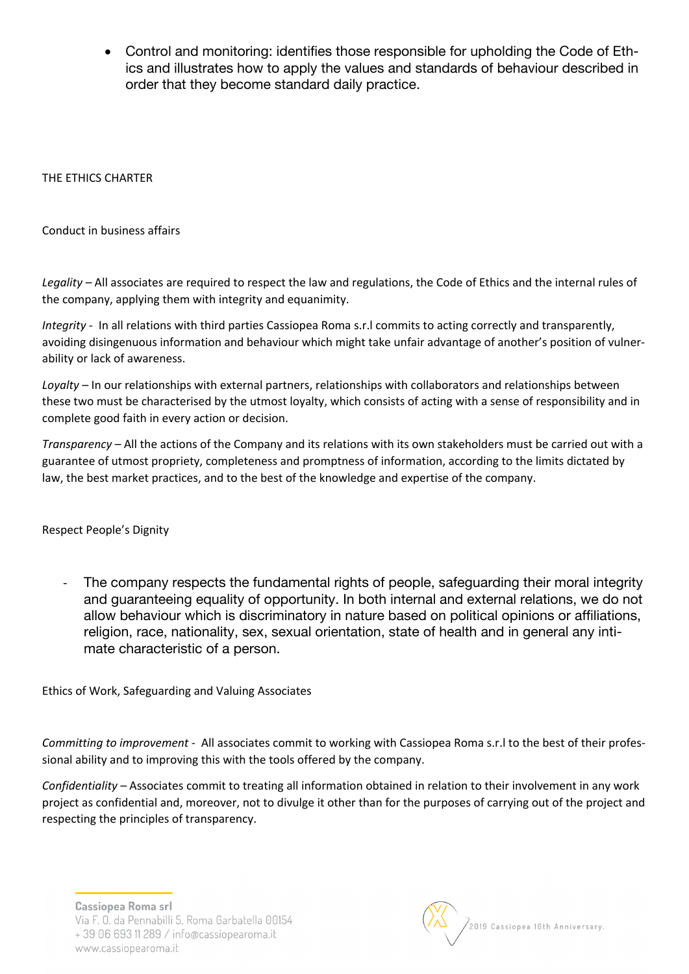• Control and monitoring: identifies those responsible for upholding the Code of Ethics and illustrates how to apply the values and standards of behaviour described in order that they become standard daily practice.

## THE ETHICS CHARTER

Conduct in business affairs

*Legality –* All associates are required to respect the law and regulations, the Code of Ethics and the internal rules of the company, applying them with integrity and equanimity.

*Integrity -* In all relations with third parties Cassiopea Roma s.r.l commits to acting correctly and transparently, avoiding disingenuous information and behaviour which might take unfair advantage of another's position of vulnerability or lack of awareness.

*Loyalty –* In our relationships with external partners, relationships with collaborators and relationships between these two must be characterised by the utmost loyalty, which consists of acting with a sense of responsibility and in complete good faith in every action or decision.

*Transparency –* All the actions of the Company and its relations with its own stakeholders must be carried out with a guarantee of utmost propriety, completeness and promptness of information, according to the limits dictated by law, the best market practices, and to the best of the knowledge and expertise of the company.

Respect People's Dignity

The company respects the fundamental rights of people, safeguarding their moral integrity and guaranteeing equality of opportunity. In both internal and external relations, we do not allow behaviour which is discriminatory in nature based on political opinions or affiliations, religion, race, nationality, sex, sexual orientation, state of health and in general any intimate characteristic of a person.

Ethics of Work, Safeguarding and Valuing Associates

*Committing to improvement -* All associates commit to working with Cassiopea Roma s.r.l to the best of their professional ability and to improving this with the tools offered by the company.

*Confidentiality –* Associates commit to treating all information obtained in relation to their involvement in any work project as confidential and, moreover, not to divulge it other than for the purposes of carrying out of the project and respecting the principles of transparency.

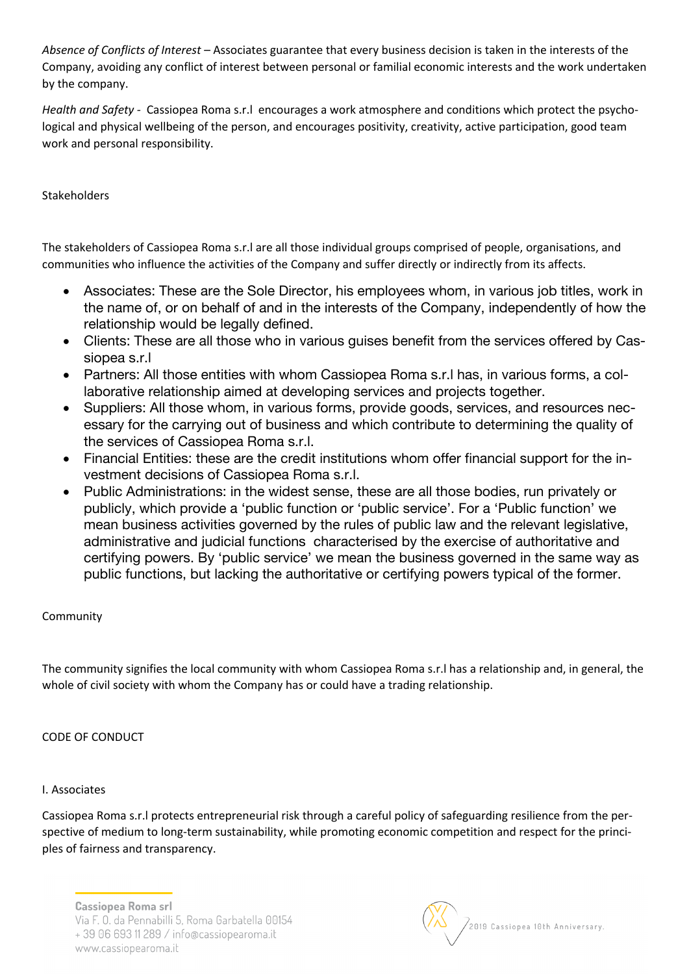*Absence of Conflicts of Interest –* Associates guarantee that every business decision is taken in the interests of the Company, avoiding any conflict of interest between personal or familial economic interests and the work undertaken by the company.

*Health and Safety -* Cassiopea Roma s.r.l encourages a work atmosphere and conditions which protect the psychological and physical wellbeing of the person, and encourages positivity, creativity, active participation, good team work and personal responsibility.

Stakeholders

The stakeholders of Cassiopea Roma s.r.l are all those individual groups comprised of people, organisations, and communities who influence the activities of the Company and suffer directly or indirectly from its affects.

- Associates: These are the Sole Director, his employees whom, in various job titles, work in the name of, or on behalf of and in the interests of the Company, independently of how the relationship would be legally defined.
- Clients: These are all those who in various guises benefit from the services offered by Cassiopea s.r.l
- Partners: All those entities with whom Cassiopea Roma s.r.l has, in various forms, a collaborative relationship aimed at developing services and projects together.
- Suppliers: All those whom, in various forms, provide goods, services, and resources necessary for the carrying out of business and which contribute to determining the quality of the services of Cassiopea Roma s.r.l.
- Financial Entities: these are the credit institutions whom offer financial support for the investment decisions of Cassiopea Roma s.r.l.
- Public Administrations: in the widest sense, these are all those bodies, run privately or publicly, which provide a 'public function or 'public service'. For a 'Public function' we mean business activities governed by the rules of public law and the relevant legislative, administrative and judicial functions characterised by the exercise of authoritative and certifying powers. By 'public service' we mean the business governed in the same way as public functions, but lacking the authoritative or certifying powers typical of the former.

# Community

The community signifies the local community with whom Cassiopea Roma s.r.l has a relationship and, in general, the whole of civil society with whom the Company has or could have a trading relationship.

# CODE OF CONDUCT

### I. Associates

Cassiopea Roma s.r.l protects entrepreneurial risk through a careful policy of safeguarding resilience from the perspective of medium to long-term sustainability, while promoting economic competition and respect for the principles of fairness and transparency.

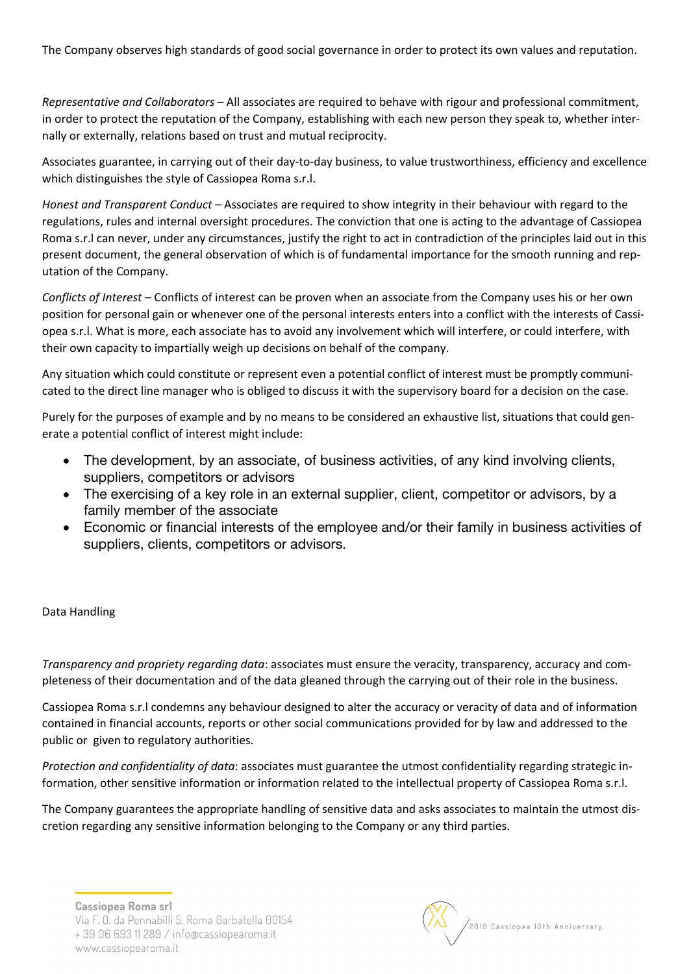The Company observes high standards of good social governance in order to protect its own values and reputation.

*Representative and Collaborators* – All associates are required to behave with rigour and professional commitment, in order to protect the reputation of the Company, establishing with each new person they speak to, whether internally or externally, relations based on trust and mutual reciprocity.

Associates guarantee, in carrying out of their day-to-day business, to value trustworthiness, efficiency and excellence which distinguishes the style of Cassiopea Roma s.r.l.

*Honest and Transparent Conduct –* Associates are required to show integrity in their behaviour with regard to the regulations, rules and internal oversight procedures. The conviction that one is acting to the advantage of Cassiopea Roma s.r.l can never, under any circumstances, justify the right to act in contradiction of the principles laid out in this present document, the general observation of which is of fundamental importance for the smooth running and reputation of the Company.

*Conflicts of Interest –* Conflicts of interest can be proven when an associate from the Company uses his or her own position for personal gain or whenever one of the personal interests enters into a conflict with the interests of Cassiopea s.r.l. What is more, each associate has to avoid any involvement which will interfere, or could interfere, with their own capacity to impartially weigh up decisions on behalf of the company.

Any situation which could constitute or represent even a potential conflict of interest must be promptly communicated to the direct line manager who is obliged to discuss it with the supervisory board for a decision on the case.

Purely for the purposes of example and by no means to be considered an exhaustive list, situations that could generate a potential conflict of interest might include:

- The development, by an associate, of business activities, of any kind involving clients, suppliers, competitors or advisors
- The exercising of a key role in an external supplier, client, competitor or advisors, by a family member of the associate
- Economic or financial interests of the employee and/or their family in business activities of suppliers, clients, competitors or advisors.

#### Data Handling

*Transparency and propriety regarding data*: associates must ensure the veracity, transparency, accuracy and completeness of their documentation and of the data gleaned through the carrying out of their role in the business.

Cassiopea Roma s.r.l condemns any behaviour designed to alter the accuracy or veracity of data and of information contained in financial accounts, reports or other social communications provided for by law and addressed to the public or given to regulatory authorities.

*Protection and confidentiality of data*: associates must guarantee the utmost confidentiality regarding strategic information, other sensitive information or information related to the intellectual property of Cassiopea Roma s.r.l.

The Company guarantees the appropriate handling of sensitive data and asks associates to maintain the utmost discretion regarding any sensitive information belonging to the Company or any third parties.

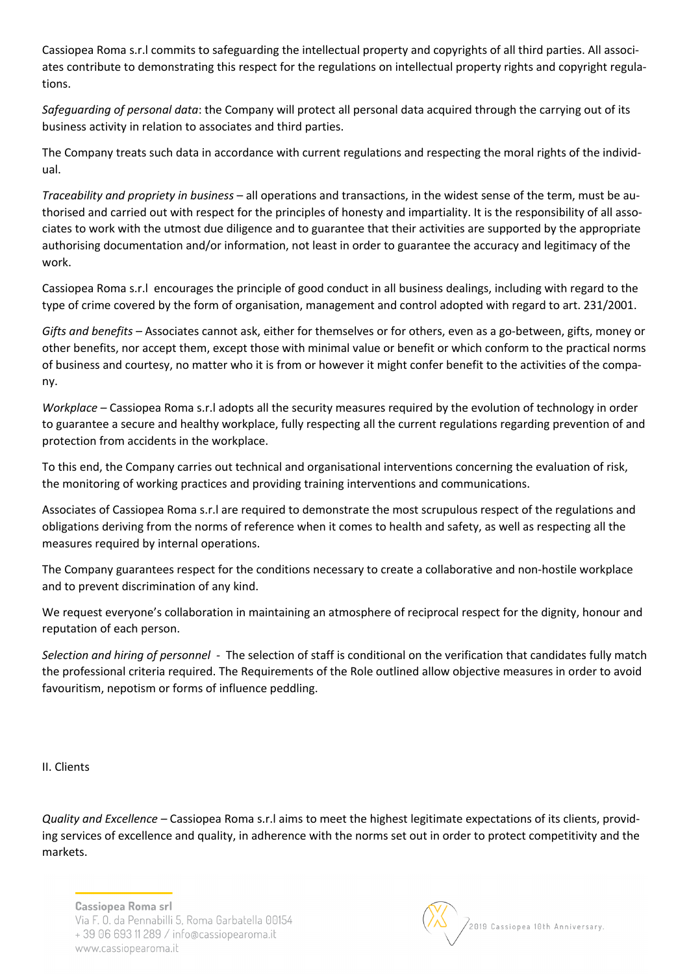Cassiopea Roma s.r.l commits to safeguarding the intellectual property and copyrights of all third parties. All associates contribute to demonstrating this respect for the regulations on intellectual property rights and copyright regulations.

*Safeguarding of personal data*: the Company will protect all personal data acquired through the carrying out of its business activity in relation to associates and third parties.

The Company treats such data in accordance with current regulations and respecting the moral rights of the individual.

*Traceability and propriety in business* – all operations and transactions, in the widest sense of the term, must be authorised and carried out with respect for the principles of honesty and impartiality. It is the responsibility of all associates to work with the utmost due diligence and to guarantee that their activities are supported by the appropriate authorising documentation and/or information, not least in order to guarantee the accuracy and legitimacy of the work.

Cassiopea Roma s.r.l encourages the principle of good conduct in all business dealings, including with regard to the type of crime covered by the form of organisation, management and control adopted with regard to art. 231/2001.

*Gifts and benefits –* Associates cannot ask, either for themselves or for others, even as a go-between, gifts, money or other benefits, nor accept them, except those with minimal value or benefit or which conform to the practical norms of business and courtesy, no matter who it is from or however it might confer benefit to the activities of the company.

*Workplace –* Cassiopea Roma s.r.l adopts all the security measures required by the evolution of technology in order to guarantee a secure and healthy workplace, fully respecting all the current regulations regarding prevention of and protection from accidents in the workplace.

To this end, the Company carries out technical and organisational interventions concerning the evaluation of risk, the monitoring of working practices and providing training interventions and communications.

Associates of Cassiopea Roma s.r.l are required to demonstrate the most scrupulous respect of the regulations and obligations deriving from the norms of reference when it comes to health and safety, as well as respecting all the measures required by internal operations.

The Company guarantees respect for the conditions necessary to create a collaborative and non-hostile workplace and to prevent discrimination of any kind.

We request everyone's collaboration in maintaining an atmosphere of reciprocal respect for the dignity, honour and reputation of each person.

*Selection and hiring of personnel -* The selection of staff is conditional on the verification that candidates fully match the professional criteria required. The Requirements of the Role outlined allow objective measures in order to avoid favouritism, nepotism or forms of influence peddling.

II. Clients

*Quality and Excellence –* Cassiopea Roma s.r.l aims to meet the highest legitimate expectations of its clients, providing services of excellence and quality, in adherence with the norms set out in order to protect competitivity and the markets.

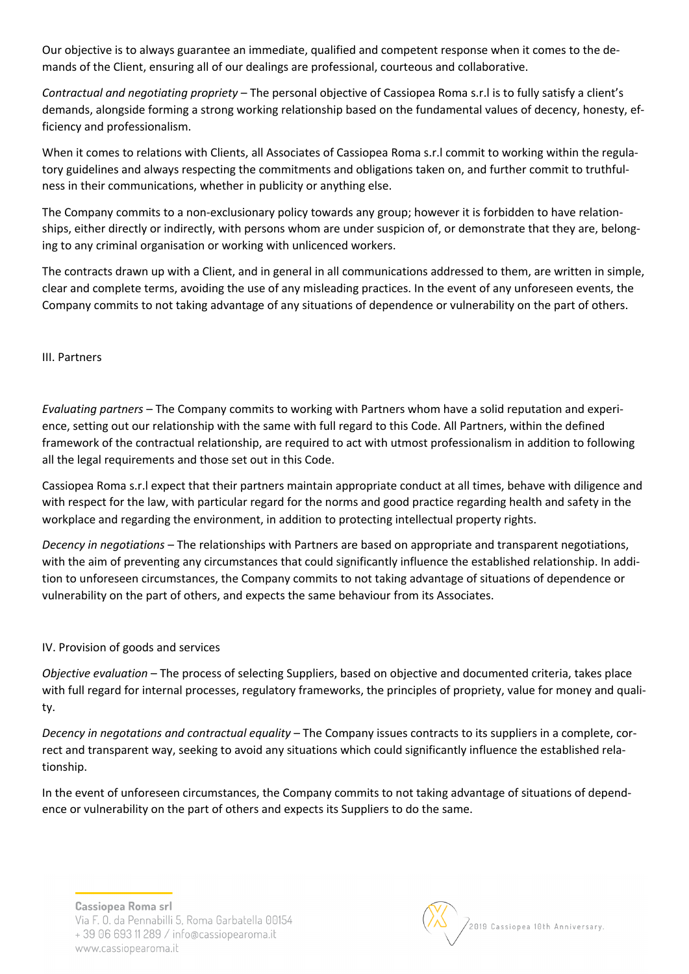Our objective is to always guarantee an immediate, qualified and competent response when it comes to the demands of the Client, ensuring all of our dealings are professional, courteous and collaborative.

*Contractual and negotiating propriety* – The personal objective of Cassiopea Roma s.r.l is to fully satisfy a client's demands, alongside forming a strong working relationship based on the fundamental values of decency, honesty, efficiency and professionalism.

When it comes to relations with Clients, all Associates of Cassiopea Roma s.r.l commit to working within the regulatory guidelines and always respecting the commitments and obligations taken on, and further commit to truthfulness in their communications, whether in publicity or anything else.

The Company commits to a non-exclusionary policy towards any group; however it is forbidden to have relationships, either directly or indirectly, with persons whom are under suspicion of, or demonstrate that they are, belonging to any criminal organisation or working with unlicenced workers.

The contracts drawn up with a Client, and in general in all communications addressed to them, are written in simple, clear and complete terms, avoiding the use of any misleading practices. In the event of any unforeseen events, the Company commits to not taking advantage of any situations of dependence or vulnerability on the part of others.

III. Partners

*Evaluating partners* – The Company commits to working with Partners whom have a solid reputation and experience, setting out our relationship with the same with full regard to this Code. All Partners, within the defined framework of the contractual relationship, are required to act with utmost professionalism in addition to following all the legal requirements and those set out in this Code.

Cassiopea Roma s.r.l expect that their partners maintain appropriate conduct at all times, behave with diligence and with respect for the law, with particular regard for the norms and good practice regarding health and safety in the workplace and regarding the environment, in addition to protecting intellectual property rights.

*Decency in negotiations* – The relationships with Partners are based on appropriate and transparent negotiations, with the aim of preventing any circumstances that could significantly influence the established relationship. In addition to unforeseen circumstances, the Company commits to not taking advantage of situations of dependence or vulnerability on the part of others, and expects the same behaviour from its Associates.

### IV. Provision of goods and services

*Objective evaluation* – The process of selecting Suppliers, based on objective and documented criteria, takes place with full regard for internal processes, regulatory frameworks, the principles of propriety, value for money and quality.

*Decency in negotations and contractual equality* – The Company issues contracts to its suppliers in a complete, correct and transparent way, seeking to avoid any situations which could significantly influence the established relationship.

In the event of unforeseen circumstances, the Company commits to not taking advantage of situations of dependence or vulnerability on the part of others and expects its Suppliers to do the same.

**Cassiopea Roma srl** 



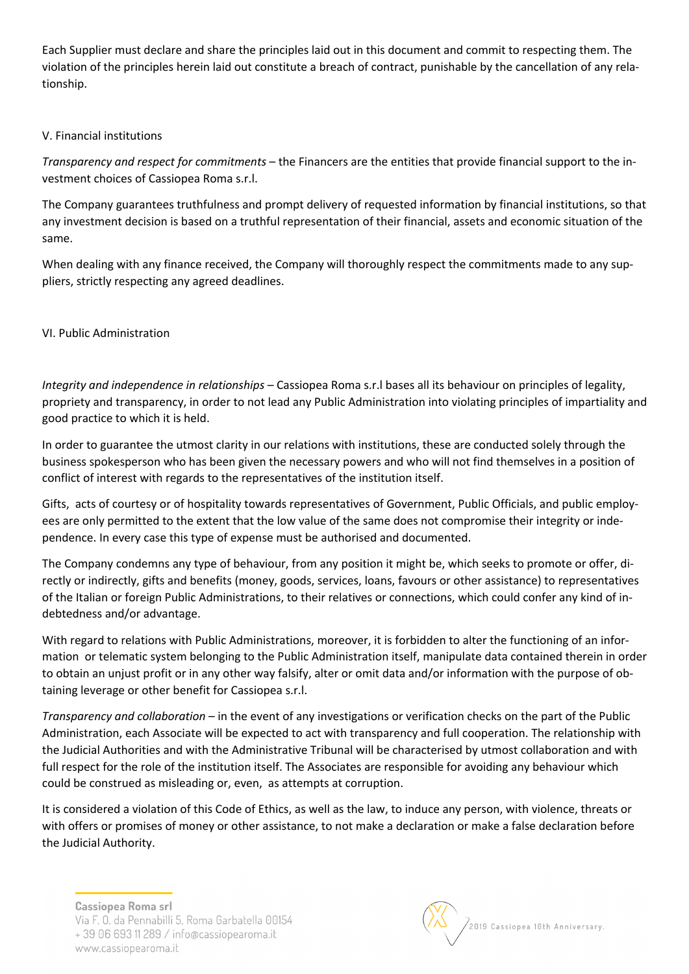Each Supplier must declare and share the principles laid out in this document and commit to respecting them. The violation of the principles herein laid out constitute a breach of contract, punishable by the cancellation of any relationship.

### V. Financial institutions

*Transparency and respect for commitments* – the Financers are the entities that provide financial support to the investment choices of Cassiopea Roma s.r.l.

The Company guarantees truthfulness and prompt delivery of requested information by financial institutions, so that any investment decision is based on a truthful representation of their financial, assets and economic situation of the same.

When dealing with any finance received, the Company will thoroughly respect the commitments made to any suppliers, strictly respecting any agreed deadlines.

## VI. Public Administration

*Integrity and independence in relationships* – Cassiopea Roma s.r.l bases all its behaviour on principles of legality, propriety and transparency, in order to not lead any Public Administration into violating principles of impartiality and good practice to which it is held.

In order to guarantee the utmost clarity in our relations with institutions, these are conducted solely through the business spokesperson who has been given the necessary powers and who will not find themselves in a position of conflict of interest with regards to the representatives of the institution itself.

Gifts, acts of courtesy or of hospitality towards representatives of Government, Public Officials, and public employees are only permitted to the extent that the low value of the same does not compromise their integrity or independence. In every case this type of expense must be authorised and documented.

The Company condemns any type of behaviour, from any position it might be, which seeks to promote or offer, directly or indirectly, gifts and benefits (money, goods, services, loans, favours or other assistance) to representatives of the Italian or foreign Public Administrations, to their relatives or connections, which could confer any kind of indebtedness and/or advantage.

With regard to relations with Public Administrations, moreover, it is forbidden to alter the functioning of an information or telematic system belonging to the Public Administration itself, manipulate data contained therein in order to obtain an unjust profit or in any other way falsify, alter or omit data and/or information with the purpose of obtaining leverage or other benefit for Cassiopea s.r.l.

*Transparency and collaboration* – in the event of any investigations or verification checks on the part of the Public Administration, each Associate will be expected to act with transparency and full cooperation. The relationship with the Judicial Authorities and with the Administrative Tribunal will be characterised by utmost collaboration and with full respect for the role of the institution itself. The Associates are responsible for avoiding any behaviour which could be construed as misleading or, even, as attempts at corruption.

It is considered a violation of this Code of Ethics, as well as the law, to induce any person, with violence, threats or with offers or promises of money or other assistance, to not make a declaration or make a false declaration before the Judicial Authority.